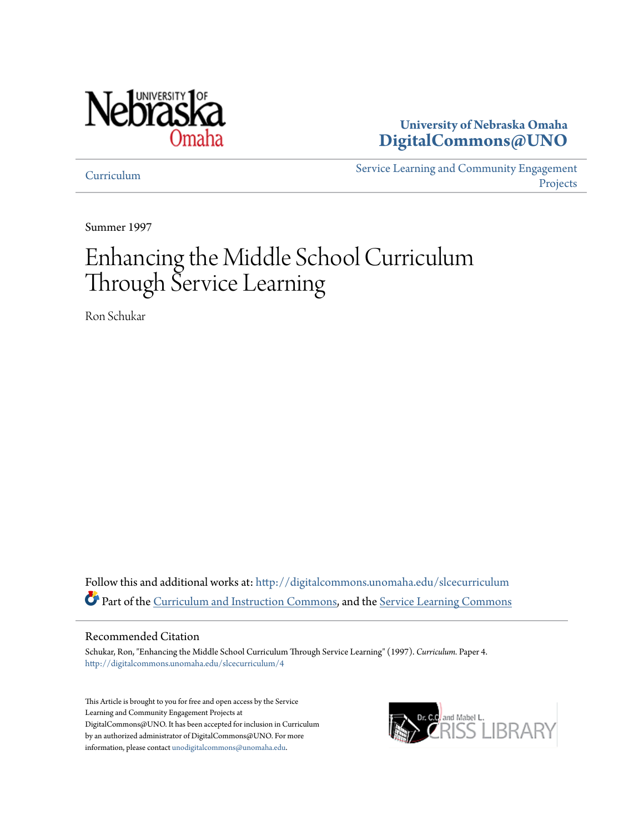

# **University of Nebraska Omaha [DigitalCommons@UNO](http://digitalcommons.unomaha.edu?utm_source=digitalcommons.unomaha.edu%2Fslcecurriculum%2F4&utm_medium=PDF&utm_campaign=PDFCoverPages)**

[Curriculum](http://digitalcommons.unomaha.edu/slcecurriculum?utm_source=digitalcommons.unomaha.edu%2Fslcecurriculum%2F4&utm_medium=PDF&utm_campaign=PDFCoverPages) [Service Learning and Community Engagement](http://digitalcommons.unomaha.edu/slceprojects?utm_source=digitalcommons.unomaha.edu%2Fslcecurriculum%2F4&utm_medium=PDF&utm_campaign=PDFCoverPages) [Projects](http://digitalcommons.unomaha.edu/slceprojects?utm_source=digitalcommons.unomaha.edu%2Fslcecurriculum%2F4&utm_medium=PDF&utm_campaign=PDFCoverPages)

Summer 1997

# Enhancing the Middle School Curriculum Through Service Learning

Ron Schukar

Follow this and additional works at: [http://digitalcommons.unomaha.edu/slcecurriculum](http://digitalcommons.unomaha.edu/slcecurriculum?utm_source=digitalcommons.unomaha.edu%2Fslcecurriculum%2F4&utm_medium=PDF&utm_campaign=PDFCoverPages) Part of the [Curriculum and Instruction Commons](http://network.bepress.com/hgg/discipline/786?utm_source=digitalcommons.unomaha.edu%2Fslcecurriculum%2F4&utm_medium=PDF&utm_campaign=PDFCoverPages), and the [Service Learning Commons](http://network.bepress.com/hgg/discipline/1024?utm_source=digitalcommons.unomaha.edu%2Fslcecurriculum%2F4&utm_medium=PDF&utm_campaign=PDFCoverPages)

## Recommended Citation

Schukar, Ron, "Enhancing the Middle School Curriculum Through Service Learning" (1997). *Curriculum.* Paper 4. [http://digitalcommons.unomaha.edu/slcecurriculum/4](http://digitalcommons.unomaha.edu/slcecurriculum/4?utm_source=digitalcommons.unomaha.edu%2Fslcecurriculum%2F4&utm_medium=PDF&utm_campaign=PDFCoverPages)

This Article is brought to you for free and open access by the Service Learning and Community Engagement Projects at DigitalCommons@UNO. It has been accepted for inclusion in Curriculum by an authorized administrator of DigitalCommons@UNO. For more information, please contact [unodigitalcommons@unomaha.edu.](mailto:unodigitalcommons@unomaha.edu)

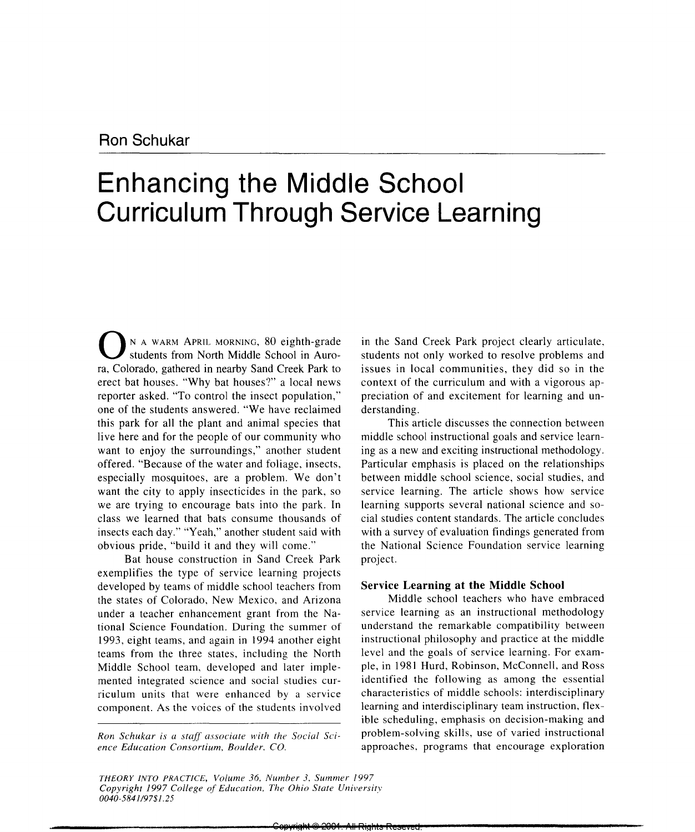# **Enhancing the Middle School Curriculum Through Service Learning**

0 N A WARM APRIL MORNING, 80 eighth-grade students from North Middle School in Aurora, Colorado, gathered in nearby Sand Creek Park to erect bat houses. "Why bat houses?" a local news reporter asked. "To control the insect population," one of the students answered. "We have reclaimed this park for all the plant and animal species that live here and for the people of our community who want to enjoy the surroundings," another student offered. "Because of the water and foliage, insects, especially mosquitoes, are a problem. We don't want the city to apply insecticides in the park, so we are trying to encourage bats into the park. In class we learned that bats consume thousands of insects each day." "Yeah," another student said with obvious pride, "build it and they will come."

Bat house construction in Sand Creek Park exemplifies the type of service learning projects developed by teams of middle school teachers from the states of Colorado, New Mexico, and Arizona under a teacher enhancement grant from the National Science Foundation. During the summer of 1993, eight teams, and again in 1994 another eight teams from the three states, including the North Middle School team, developed and later implemented integrated science and social studies curriculum units that were enhanced by a service component. As the voices of the students involved

*Ron Schukar is a staff associate with the Social Sci· ence Education Consortium. Boulder. CO.* 

in the Sand Creek Park project clearly articulate, students not only worked to resolve problems and issues in local communities, they did so in the context of the curriculum and with a vigorous appreciation of and excitement for learning and understanding.

This article discusses the connection between middle school instructional goals and service learning as a new and exciting instructional methodology. Particular emphasis is placed on the relationships between middle school science, social studies, and service learning. The article shows how service learning supports several national science and social studies content standards. The article concludes with a survey of evaluation findings generated from the National Science Foundation service learning project.

#### **Service Learning at the Middle School**

Middle school teachers who have embraced service learning as an instructional methodology understand the remarkable compatibility between instructional philosophy and practice at the middle level and the goals of service learning. For example, in 1981 Hurd, Robinson, McConnell, and Ross identified the following as among the essential characteristics of middle schools: interdisciplinary learning and interdisciplinary team instruction, flexible scheduling, emphasis on decision-making and problem-solving skills, use of varied instructional approaches, programs that encourage exploration

*THEORY INTO PRACTICE, Volume 36, Number 3, Summer 1997 Copyright 1997 College of Education, The Ohio State Universitv 0040-5841/97\$1.25*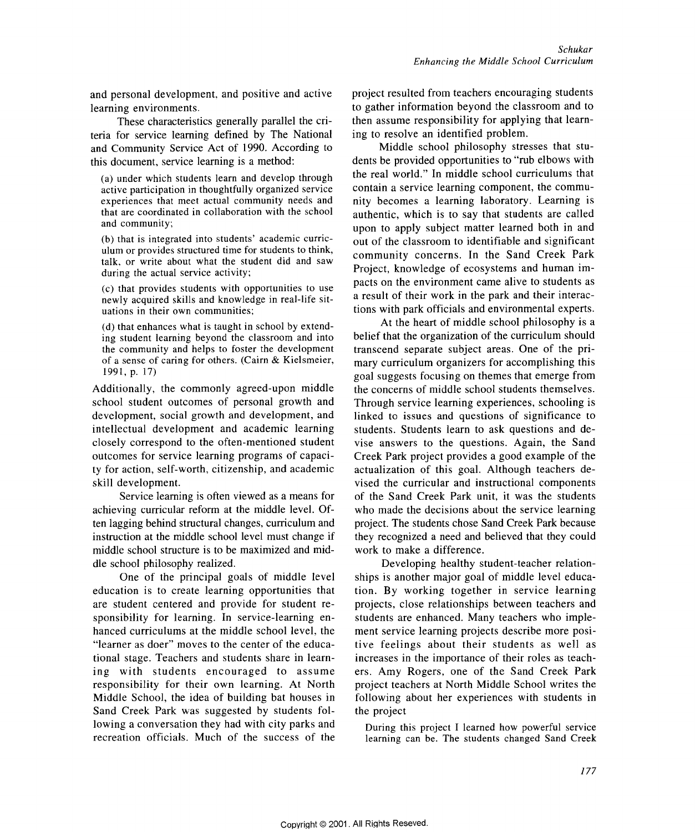and personal development, and positive and active learning environments.

These characteristics generally parallel the criteria for service learning defined by The National and Community Service Act of 1990. According to this document, service learning is a method:

(a) under which students learn and develop through active participation in thoughtfully organized service experiences that meet actual community needs and that are coordinated in collaboration with the school and community;

(b) that is integrated into students' academic curriculum or provides structured time for students to think, talk, or write about what the student did and saw during the actual service activity;

(c) that provides students with opportunities to use newly acquired skills and knowledge in real-life situations in their own communities;

(d) that enhances what is taught in school by extending student learning beyond the classroom and into the community and helps to foster the development of a sense of caring for others. (Cairn & Kielsmeier, 1991, p. 17)

Additionally, the commonly agreed-upon middle school student outcomes of personal growth and development, social growth and development, and intellectual development and academic learning closely correspond to the often-mentioned student outcomes for service learning programs of capacity for action, self-worth, citizenship, and academic skill development.

Service learning is often viewed as a means for achieving curricular reform at the middle level. Often lagging behind structural changes, curriculum and instruction at the middle school level must change if middle school structure is to be maximized and middle school philosophy realized.

One of the principal goals of middle level education is to create learning opportunities that are student centered and provide for student responsibility for learning. In service-learning enhanced curriculums at the middle school level, the "learner as doer" moves to the center of the educational stage. Teachers and students share in learning with students encouraged to assume responsibility for their own learning. At North Middle School, the idea of building bat houses in Sand Creek Park was suggested by students following a conversation they had with city parks and recreation officials. Much of the success of the project resulted from teachers encouraging students to gather information beyond the classroom and to then assume responsibility for applying that learning to resolve an identified problem.

Middle school philosophy stresses that students be provided opportunities to "rub elbows with the real world." In middle school curriculums that contain a service learning component, the community becomes a learning laboratory. Learning is authentic, which is to say that students are called upon to apply subject matter learned both in and out of the classroom to identifiable and significant community concerns. In the Sand Creek Park Project, knowledge of ecosystems and human impacts on the environment came alive to students as a result of their work in the park and their interactions with park officials and environmental experts.

At the heart of middle school philosophy is a belief that the organization of the curriculum should transcend separate subject areas. One of the primary curriculum organizers for accomplishing this goal suggests focusing on themes that emerge from the concerns of middle school students themselves. Through service learning experiences, schooling is linked to issues and questions of significance to students. Students learn to ask questions and devise answers to the questions. Again, the Sand Creek Park project provides a good example of the actualization of this goal. Although teachers devised the curricular and instructional components of the Sand Creek Park unit, it was the students who made the decisions about the service learning project. The students chose Sand Creek Park because they recognized a need and believed that they could work to make a difference.

Developing healthy student-teacher relationships is another major goal of middle level education. By working together in service learning projects, close relationships between teachers and students are enhanced. Many teachers who implement service learning projects describe more positive feelings about their students as well as increases in the importance of their roles as teachers. Amy Rogers, one of the Sand Creek Park project teachers at North Middle School writes the following about her experiences with students in the project

During this project I learned how powerful service learning can be. The students changed Sand Creek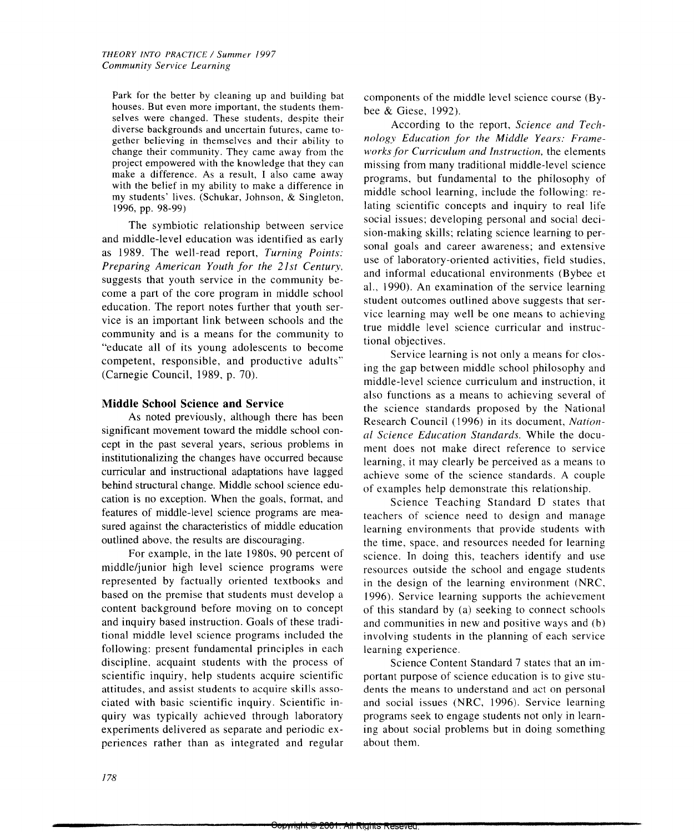Park for the better by cleaning up and building bat houses. But even more important, the students themselves were changed. These students, despite their diverse backgrounds and uncertain futures, came together believing in themselves and their ability to change their community. They came away from the project empowered with the knowledge that they can make a difference. As a result, I also came away with the belief in my ability to make a difference in my students' lives. (Schukar, Johnson, & Singleton, 1996, pp. 98-99)

The symbiotic relationship between service and middle-level education was identified as early as 1989. The well-read report, *Turning Points: Preparing American Youth for the 21st Century,*  suggests that youth service in the community become a part of the core program in middle school education. The report notes further that youth service is an important link between schools and the community and is a means for the community to "educate all of its young adolescents to become competent, responsible, and productive adults'' (Carnegie Council, 1989, p. 70).

#### **Middle School Science and Service**

As noted previously, although there has been significant movement toward the middle school concept in the past several years, serious problems in institutionalizing the changes have occurred because curricular and instructional adaptations have lagged behind structural change. Middle school science education is no exception. When the goals, format, and features of middle-level science programs are measured against the characteristics of middle education outlined above, the results are discouraging.

For example, in the late 1980s, 90 percent of middle/junior high level science programs were represented by factually oriented textbooks and based on the premise that students must develop a content background before moving on to concept and inquiry based instruction. Goals of these traditional middle level science programs included the following: present fundamental principles in each discipline, acquaint students with the process of scientific inquiry, help students acquire scientific attitudes, and assist students to acquire skills associated with basic scientific inquiry. Scientific inquiry was typically achieved through laboratory experiments delivered as separate and periodic experiences rather than as integrated and regular

**Oapy• iwl •t@: !ee 1. All** ~1a1 **it!; 11\esevea.** 

components of the middle level science course (Bybee & Giese, 1992).

According to the report, *Science and Technology Education for the Middle Years: Frameworks for Curriculum and Instruction,* the elements missing from many traditional middle-level science programs, but fundamental to the philosophy of middle school learning, include the following: relating scientific concepts and inquiry to real life social issues: developing personal and social decision-making skills; relating science learning to personal goals and career awareness; and extensive use of laboratory-oriented activities, field studies. and informal educational environments (Bybee et al., 1990). An examination of the service learning student outcomes outlined above suggests that service learning may well be one means to achieving true middle level science curricular and instructional objectives.

Service learning is not only a means for closing the gap between middle school philosophy and middle-level science curriculum and instruction, it also functions as a means to achieving several of the science standards proposed by the National Research Council ( 1996) in its document, *National Science Education Standards.* While the document does not make direct reference to service learning, it may clearly be perceived as a means to achieve some of the science standards. A couple of examples help demonstrate this relationship.

Science Teaching Standard D states that teachers of science need to design and manage learning environments that provide students with the time. space, and resources needed for learning science. In doing this, teachers identify and use resources outside the school and engage students in the design of the learning environment (NRC. 1996). Service learning supports the achievement of this standard by (a) seeking to connect schools and communities in new and positive ways and (b) involving students in the planning of each service learning experience.

Science Content Standard 7 states that an important purpose of science education is to give students the means to understand and act on personal and social issues (NRC, 1996). Service learning programs seek to engage students not only in learning about social problems but in doing something about them.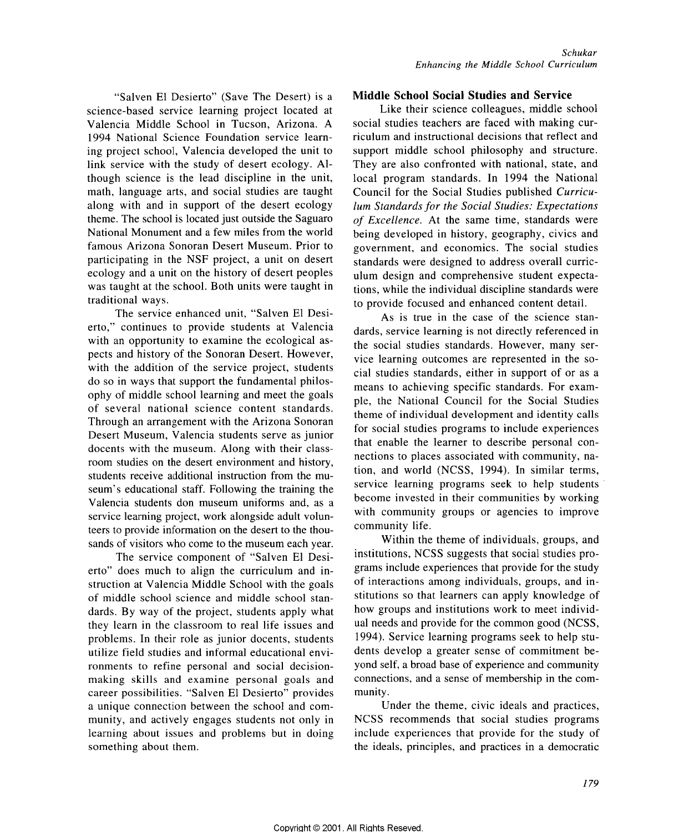"Salven El Desierto" (Save The Desert) is a science-based service learning project located at Valencia Middle School in Tucson, Arizona. A 1994 National Science Foundation service learning project school, Valencia developed the unit to link service with the study of desert ecology. Although science is the lead discipline in the unit, math, language arts, and social studies are taught along with and in support of the desert ecology theme. The school is located just outside the Saguaro National Monument and a few miles from the world famous Arizona Sonoran Desert Museum. Prior to participating in the NSF project, a unit on desert ecology and a unit on the history of desert peoples was taught at the school. Both units were taught in traditional ways.

The service enhanced unit, "Salven El Desierto," continues to provide students at Valencia with an opportunity to examine the ecological aspects and history of the Sonoran Desert. However, with the addition of the service project, students do so in ways that support the fundamental philosophy of middle school learning and meet the goals of several national science content standards. Through an arrangement with the Arizona Sonoran Desert Museum, Valencia students serve as junior docents with the museum. Along with their classroom studies on the desert environment and history, students receive additional instruction from the museum's educational staff. Following the training the Valencia students don museum uniforms and, as a service learning project, work alongside adult volunteers to provide information on the desert to the thousands of visitors who come to the museum each year.

The service component of "Salven El Desierto" does much to align the curriculum and instruction at Valencia Middle School with the goals of middle school science and middle school standards. By way of the project, students apply what they learn in the classroom to real life issues and problems. In their role as junior docents, students utilize field studies and informal educational environments to refine personal and social decisionmaking skills and examine personal goals and career possibilities. "Salven El Desierto" provides a unique connection between the school and community, and actively engages students not only in learning about issues and problems but in doing something about them.

### **Middle School Social Studies and Service**

Like their science colleagues, middle school social studies teachers are faced with making curriculum and instructional decisions that reflect and support middle school philosophy and structure. They are also confronted with national, state, and local program standards. In 1994 the National Council for the Social Studies published *Curriculum Standards for the Social Studies: Expectations of Excellence.* At the same time, standards were being developed in history, geography, civics and government, and economics. The social studies standards were designed to address overall curriculum design and comprehensive student expectations, while the individual discipline standards were to provide focused and enhanced content detail.

As is true in the case of the science standards, service learning is not directly referenced in the social studies standards. However, many service learning outcomes are represented in the social studies standards, either in support of or as a means to achieving specific standards. For example, the National Council for the Social Studies theme of individual development and identity calls for social studies programs to include experiences that enable the learner to describe personal connections to places associated with community, nation, and world (NCSS, 1994). In similar terms, service learning programs seek to help students become invested in their communities by working with community groups or agencies to improve community life.

Within the theme of individuals, groups, and institutions, NCSS suggests that social studies programs include experiences that provide for the study of interactions among individuals, groups, and institutions so that learners can apply knowledge of how groups and institutions work to meet individual needs and provide for the common good (NCSS, 1994). Service learning programs seek to help students develop a greater sense of commitment beyond self, a broad base of experience and community connections, and a sense of membership in the community.

Under the theme, civic ideals and practices, NCSS recommends that social studies programs include experiences that provide for the study of the ideals, principles, and practices in a democratic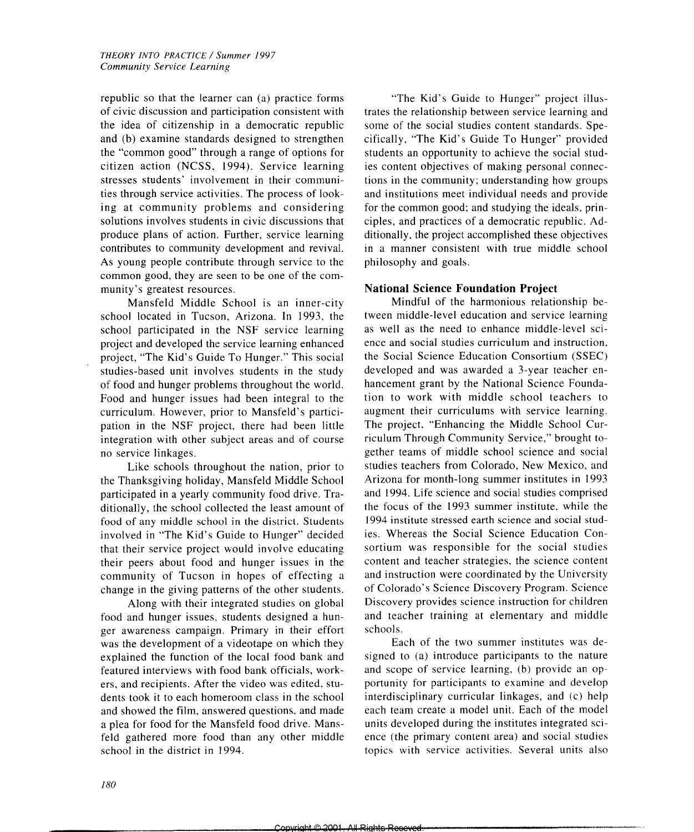republic so that the learner can (a) practice forms of civic discussion and participation consistent with the idea of citizenship in a democratic republic and (b) examine standards designed to strengthen the "common good" through a range of options for citizen action (NCSS, 1994). Service learning stresses students' involvement in their communities through service activities. The process of looking at community problems and considering solutions involves students in civic discussions that produce plans of action. Further, service learning contributes to community development and revival. As young people contribute through service to the common good, they are seen to be one of the community's greatest resources.

Mansfeld Middle School is an inner-city school located in Tucson, Arizona. In 1993, the school participated in the NSF service learning project and developed the service learning enhanced project, "The Kid's Guide To Hunger." This social studies-based unit involves students in the study of food and hunger problems throughout the world. Food and hunger issues had been integral to the curriculum. However, prior to Mansfeld's participation in the NSF project, there had been little integration with other subject areas and of course no service linkages.

Like schools throughout the nation, prior to the Thanksgiving holiday, Mansfeld Middle School participated in a yearly community food drive. Traditionally, the school collected the least amount of food of any middle school in the district. Students involved in "The Kid's Guide to Hunger" decided that their service project would involve educating their peers about food and hunger issues in the community of Tucson in hopes of effecting a change in the giving patterns of the other students.

Along with their integrated studies on global food and hunger issues, students designed a hunger awareness campaign. Primary in their effort was the development of a videotape on which they explained the function of the local food bank and featured interviews with food bank officials, workers, and recipients. After the video was edited, students took it to each homeroom class in the school and showed the film, answered questions. and made a plea for food for the Mansfeld food drive. Mansfeld gathered more food than any other middle school in the district in 1994.

"The Kid's Guide to Hunger" project illustrates the relationship between service learning and some of the social studies content standards. Specifically, "The Kid's Guide To Hunger" provided students an opportunity to achieve the social studies content objectives of making personal connections in the community; understanding how groups and institutions meet individual needs and provide for the common good; and studying the ideals, principles, and practices of a democratic republic. Additionally, the project accomplished these objectives in a manner consistent with true middle school philosophy and goals.

#### **National Science Foundation Project**

Mindful of the harmonious relationship between middle-level education and service learning as well as the need to enhance middle-level science and social studies curriculum and instruction. the Social Science Education Consortium (SSEC) developed and was awarded a 3-year teacher enhancement grant by the National Science Foundation to work with middle school teachers to augment their curriculums with service learning. The project. "Enhancing the Middle School Curriculum Through Community Service," brought together teams of middle school science and social studies teachers from Colorado, New Mexico, and Arizona for month-long summer institutes in 1993 and 1994. Life science and social studies comprised the focus of the 1993 summer institute. while the 1994 institute stressed earth science and social studies. Whereas the Social Science Education Consortium was responsible for the social studies content and teacher strategies. the science content and instruction were coordinated by the University of Colorado's Science Discovery Program. Science Discovery provides science instruction for children and teacher training at elementary and middle schools.

Each of the two summer institutes was designed to (a) introduce participants to the nature and scope of service learning, (b) provide an opportunity for participants to examine and develop interdisciplinary curricular linkages, and (c) help each team create a model unit. Each of the model units developed during the institutes integrated science (the primary content area) and social studies topics with service activities. Several units also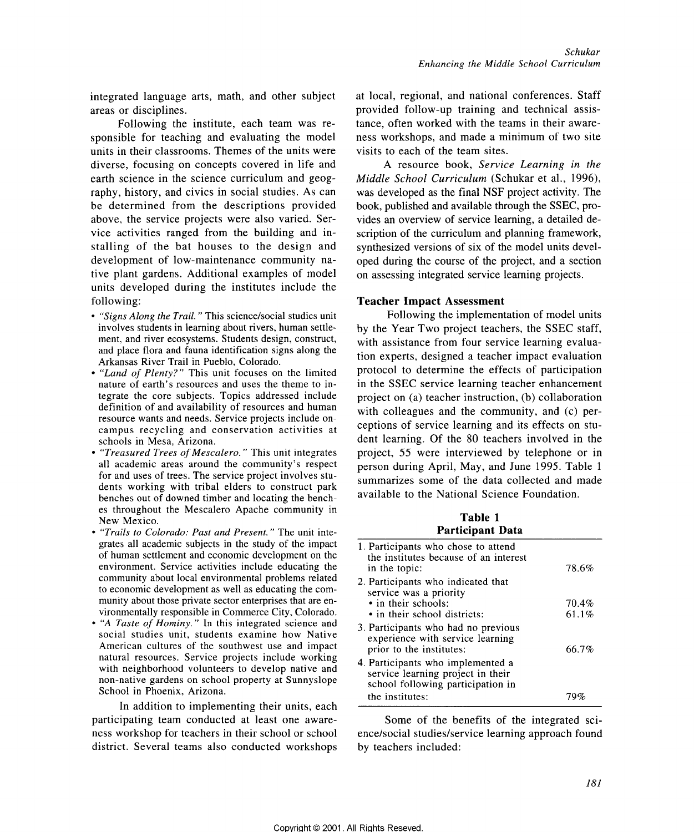integrated language arts, math, and other subject areas or disciplines.

Following the institute, each team was responsible for teaching and evaluating the model units in their classrooms. Themes of the units were diverse, focusing on concepts covered in life and earth science in the science curriculum and geography, history, and civics in social studies. As can be determined from the descriptions provided above, the service projects were also varied. Service activities ranged from the building and installing of the bat houses to the design and development of low-maintenance community native plant gardens. Additional examples of model units developed during the institutes include the following:

- *"Signs Along the Trail."* This science/social studies unit involves students in learning about rivers, human settlement, and river ecosystems. Students design, construct, and place flora and fauna identification signs along the Arkansas River Trail in Pueblo, Colorado.
- *"Land of Plenty?"* This unit focuses on the limited nature of earth's resources and uses the theme to integrate the core subjects. Topics addressed include definition of and availability of resources and human resource wants and needs. Service projects include oncampus recycling and conservation activities at schools in Mesa, Arizona.
- *"Treasured Trees of Mescalero."* This unit integrates all academic areas around the community's respect for and uses of trees. The service project involves students working with tribal elders to construct park benches out of downed timber and locating the benches throughout the Mescalero Apache community in New Mexico.
- *"Trails to Colorado: Past and Present."* The unit integrates all academic subjects in the study of the impact of human settlement and economic development on the environment. Service activities include educating the community about local environmental problems related to economic development as well as educating the community about those private sector enterprises that are environmentally responsible in Commerce City, Colorado.
- *"A Taste of Hominy."* In this integrated science and social studies unit, students examine how Native American cultures of the southwest use and impact natural resources. Service projects include working with neighborhood volunteers to develop native and non-native gardens on school property at Sunnyslope School in Phoenix, Arizona.

In addition to implementing their units, each participating team conducted at least one awareness workshop for teachers in their school or school district. Several teams also conducted workshops at local, regional, and national conferences. Staff provided follow-up training and technical assistance, often worked with the teams in their awareness workshops, and made a minimum of two site visits to each of the team sites.

A resource book, *Service Learning in the Middle School Curriculum* (Schukar et al., 1996), was developed as the final NSF project activity. The book, published and available through the SSEC, provides an overview of service learning, a detailed description of the curriculum and planning framework, synthesized versions of six of the model units developed during the course of the project, and a section on assessing integrated service learning projects.

### **Teacher Impact Assessment**

Following the implementation of model units by the Year Two project teachers, the SSEC staff, with assistance from four service learning evaluation experts, designed a teacher impact evaluation protocol to determine the effects of participation in the SSEC service learning teacher enhancement project on (a) teacher instruction, (b) collaboration with colleagues and the community, and (c) perceptions of service learning and its effects on student learning. Of the 80 teachers involved in the project, 55 were interviewed by telephone or in person during April, May, and June 1995. Table 1 summarizes some of the data collected and made available to the National Science Foundation.

| Table 1                 |  |
|-------------------------|--|
| <b>Participant Data</b> |  |

| 1. Participants who chose to attend<br>the institutes because of an interest<br>in the topic:               | 78.6% |
|-------------------------------------------------------------------------------------------------------------|-------|
| 2. Participants who indicated that<br>service was a priority                                                |       |
| • in their schools:                                                                                         | 70.4% |
| • in their school districts:                                                                                | 61.1% |
| 3. Participants who had no previous<br>experience with service learning<br>prior to the institutes:         | 66.7% |
| 4. Participants who implemented a<br>service learning project in their<br>school following participation in |       |
| the institutes:                                                                                             |       |

Some of the benefits of the integrated science/social studies/service learning approach found by teachers included: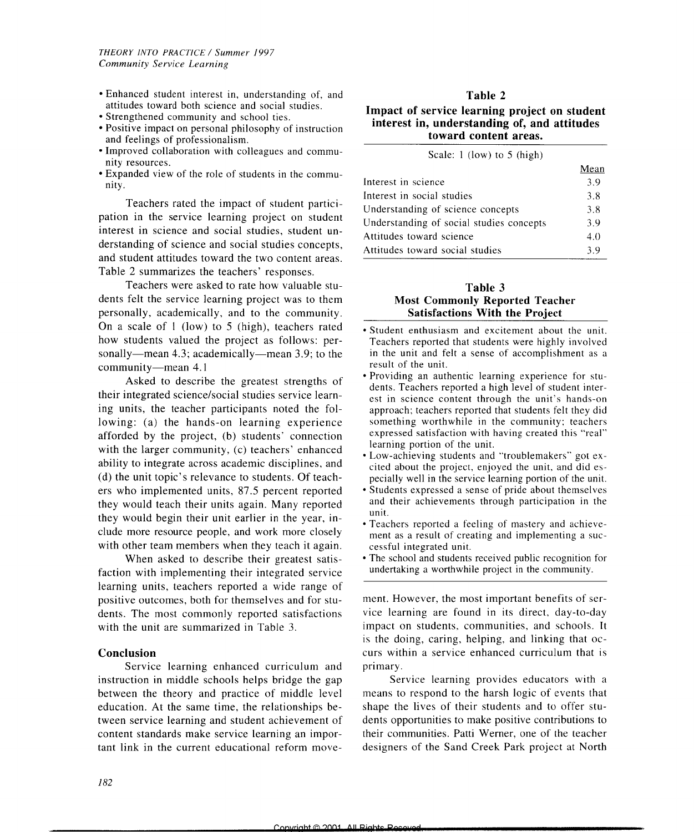- Enhanced student interest in, understanding of, and attitudes toward both science and social studies.
- Strengthened community and school ties.
- Positive impact on personal philosophy of instruction and feelings of professionalism.
- Improved collaboration with colleagues and community resources.
- Expanded view of the role of students in the community.

Teachers rated the impact of student participation in the service learning project on student interest in science and social studies, student understanding of science and social studies concepts, and student attitudes toward the two content areas. Table 2 summarizes the teachers' responses.

Teachers were asked to rate how valuable students felt the service learning project was to them personally, academically, and to the community. On a scale of I (low) to 5 (high), teachers rated how students valued the project as follows: personally—mean 4.3; academically—mean 3.9; to the community-mean 4.1

Asked to describe the greatest strengths of their integrated science/social studies service learning units, the teacher participants noted the following: (a) the hands-on learning experience afforded by the project, (b) students' connection with the larger community, (c) teachers' enhanced ability to integrate across academic disciplines, and (d) the unit topic's relevance to students. Of teachers who implemented units, 87.5 percent reported they would teach their units again. Many reported they would begin their unit earlier in the year, include more resource people, and work more closely with other team members when they teach it again.

When asked to describe their greatest satisfaction with implementing their integrated service learning units, teachers reported a wide range of positive outcomes, both for themselves and for students. The most commonly reported satisfactions with the unit are summarized in Table 3.

#### **Conclusion**

Service learning enhanced curriculum and instruction in middle schools helps bridge the gap between the theory and practice of middle level education. At the same time, the relationships between service learning and student achievement of content standards make service learning an important link in the current educational reform move-

Convright @ 2001

#### **Table 2**

#### **Impact of service learning project on student interest in, understanding of, and attitudes toward content areas.**

| Scale: $1$ (low) to $5$ (high)           |      |
|------------------------------------------|------|
|                                          | Mean |
| Interest in science                      | 3.9  |
| Interest in social studies               | 3.8  |
| Understanding of science concepts        | 3.8  |
| Understanding of social studies concepts | 3.9  |
| Attitudes toward science                 | 4.0  |
| Attitudes toward social studies          | 39   |

#### **Table 3 Most Commonly Reported Teacher Satisfactions With the Project**

- Student enthusiasm and excitement about the unit. Teachers reported that students were highly involved in the unit and felt a sense of accomplishment as a result of the unit.
- Providing an authentic learning experience for students. Teachers reported a high level of student interest in science content through the unit's hands-on approach; teachers reported that students felt they did something worthwhile in the community; teachers expressed satisfaction with having created this "real" learning portion of the unit.
- Low-achieving students and "troublemakers" got excited about the project, enjoyed the unit, and did especially well in the service learning portion of the unit.
- Students expressed a sense of pride about themselves and their achievements through participation in the unit.
- Teachers reported a feeling of mastery and achievement as a result of creating and implementing a successful integrated unit.
- The school and students received public recognition for undertaking a worthwhile project in the community.

ment. However, the most important benefits of service learning are found in its direct, day-to-day impact on students. communities, and schools. It is the doing, caring, helping, and linking that occurs within a service enhanced curriculum that is primary.

Service learning provides educators with a means to respond to the harsh logic of events that shape the lives of their students and to offer students opportunities to make positive contributions to their communities. Patti Werner, one of the teacher designers of the Sand Creek Park project at North